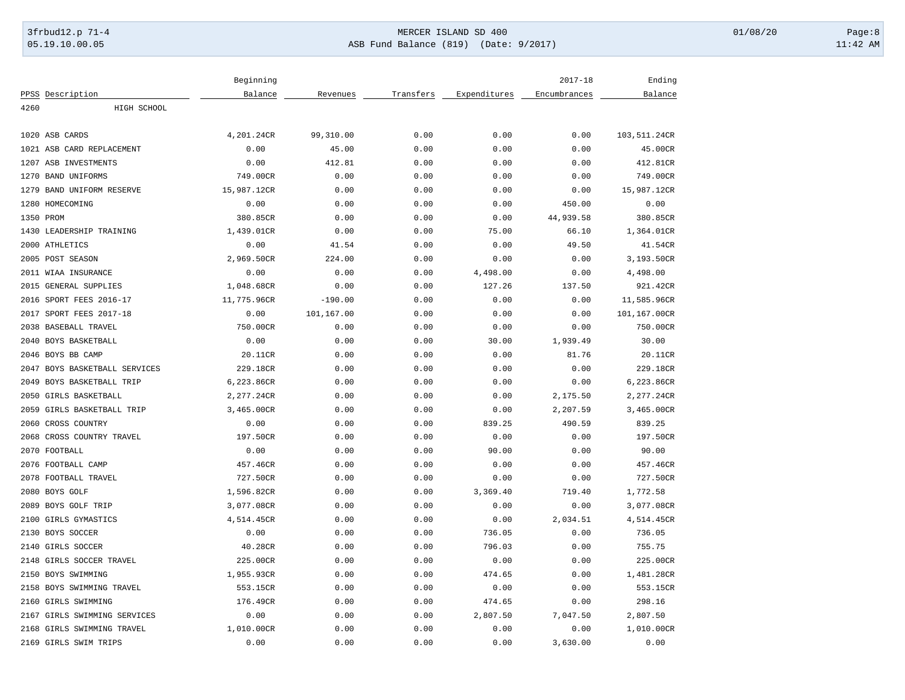## 3frbud12.p 71-4 **Details and the CER ISLAND SD 400** MERCER ISLAND SD 400 01/08/20 Page:8 05.19.10.00.05 ASB Fund Balance (819) (Date: 9/2017) 11:42 AM

| Balance<br>PPSS Description<br>Balance<br>Revenues<br>Transfers<br>Expenditures<br>Encumbrances<br>4260<br>HIGH SCHOOL<br>1020 ASB CARDS<br>4,201.24CR<br>99,310.00<br>0.00<br>0.00<br>0.00<br>103,511.24CR<br>0.00<br>0.00<br>1021 ASB CARD REPLACEMENT<br>0.00<br>45.00<br>0.00<br>45.00CR<br>1207 ASB INVESTMENTS<br>0.00<br>412.81<br>0.00<br>0.00<br>0.00<br>412.81CR<br>1270<br><b>BAND UNIFORMS</b><br>749.00CR<br>0.00<br>0.00<br>0.00<br>0.00<br>749.00CR<br>15,987.12CR<br>15,987.12CR<br>1279<br>BAND UNIFORM RESERVE<br>0.00<br>0.00<br>0.00<br>0.00<br>1280 HOMECOMING<br>0.00<br>0.00<br>0.00<br>0.00<br>450.00<br>0.00<br>1350 PROM<br>380.85CR<br>0.00<br>44,939.58<br>380.85CR<br>0.00<br>0.00<br>75.00<br>1430<br>LEADERSHIP TRAINING<br>1,439.01CR<br>0.00<br>0.00<br>66.10<br>1,364.01CR<br>2000 ATHLETICS<br>0.00<br>0.00<br>0.00<br>49.50<br>41.54CR<br>41.54<br>2005 POST SEASON<br>2,969.50CR<br>224.00<br>0.00<br>0.00<br>3,193.50CR<br>0.00<br>4,498.00<br>2011 WIAA INSURANCE<br>0.00<br>0.00<br>0.00<br>0.00<br>4,498.00<br>1,048.68CR<br>127.26<br>2015<br>GENERAL SUPPLIES<br>0.00<br>0.00<br>137.50<br>921.42CR<br>SPORT FEES 2016-17<br>11,775.96CR<br>$-190.00$<br>0.00<br>0.00<br>0.00<br>11,585.96CR<br>2016<br>2017 SPORT FEES 2017-18<br>0.00<br>101,167.00<br>0.00<br>101,167.00CR<br>0.00<br>0.00<br>2038 BASEBALL TRAVEL<br>750.00CR<br>0.00<br>0.00<br>0.00<br>0.00<br>750.00CR<br>2040 BOYS BASKETBALL<br>0.00<br>0.00<br>30.00<br>1,939.49<br>30.00<br>0.00<br>2046 BOYS BB CAMP<br>20.11CR<br>0.00<br>0.00<br>0.00<br>81.76<br>20.11CR<br>229.18CR<br>229.18CR<br>2047<br>BOYS BASKETBALL SERVICES<br>0.00<br>0.00<br>0.00<br>0.00<br>6,223.86CR<br>2049<br>BOYS BASKETBALL TRIP<br>6,223.86CR<br>0.00<br>0.00<br>0.00<br>0.00<br>2050<br>GIRLS BASKETBALL<br>2,277.24CR<br>0.00<br>0.00<br>0.00<br>2,175.50<br>2,277.24CR<br>2059 GIRLS BASKETBALL TRIP<br>3,465.00CR<br>2,207.59<br>3,465.00CR<br>0.00<br>0.00<br>0.00<br>2060<br>CROSS COUNTRY<br>0.00<br>0.00<br>0.00<br>839.25<br>490.59<br>839.25<br>2068 CROSS COUNTRY TRAVEL<br>197.50CR<br>0.00<br>0.00<br>0.00<br>0.00<br>197.50CR<br>90.00<br>2070 FOOTBALL<br>0.00<br>0.00<br>0.00<br>0.00<br>90.00<br>2076 FOOTBALL CAMP<br>457.46CR<br>0.00<br>0.00<br>0.00<br>0.00<br>457.46CR<br>FOOTBALL TRAVEL<br>727.50CR<br>727.50CR<br>2078<br>0.00<br>0.00<br>0.00<br>0.00<br>2080 BOYS GOLF<br>1,596.82CR<br>0.00<br>0.00<br>3,369.40<br>719.40<br>1,772.58<br>2089 BOYS GOLF TRIP<br>0.00<br>0.00<br>3,077.08CR<br>3,077.08CR<br>0.00<br>0.00<br>2100<br>GIRLS GYMASTICS<br>4,514.45CR<br>0.00<br>0.00<br>0.00<br>2,034.51<br>4,514.45CR<br>2130 BOYS SOCCER<br>0.00<br>0.00<br>736.05<br>736.05<br>0.00<br>0.00<br>2140<br>GIRLS SOCCER<br>40.28CR<br>0.00<br>0.00<br>796.03<br>755.75<br>0.00<br>2148<br>GIRLS SOCCER TRAVEL<br>225.00CR<br>0.00<br>0.00<br>0.00<br>0.00<br>225.00CR<br>2150 BOYS SWIMMING<br>1,955.93CR<br>0.00<br>0.00<br>474.65<br>0.00<br>1,481.28CR<br>2158 BOYS SWIMMING TRAVEL<br>553.15CR<br>0.00<br>0.00<br>0.00<br>0.00<br>553.15CR |  | Beginning |  | $2017 - 18$ | Ending |
|---------------------------------------------------------------------------------------------------------------------------------------------------------------------------------------------------------------------------------------------------------------------------------------------------------------------------------------------------------------------------------------------------------------------------------------------------------------------------------------------------------------------------------------------------------------------------------------------------------------------------------------------------------------------------------------------------------------------------------------------------------------------------------------------------------------------------------------------------------------------------------------------------------------------------------------------------------------------------------------------------------------------------------------------------------------------------------------------------------------------------------------------------------------------------------------------------------------------------------------------------------------------------------------------------------------------------------------------------------------------------------------------------------------------------------------------------------------------------------------------------------------------------------------------------------------------------------------------------------------------------------------------------------------------------------------------------------------------------------------------------------------------------------------------------------------------------------------------------------------------------------------------------------------------------------------------------------------------------------------------------------------------------------------------------------------------------------------------------------------------------------------------------------------------------------------------------------------------------------------------------------------------------------------------------------------------------------------------------------------------------------------------------------------------------------------------------------------------------------------------------------------------------------------------------------------------------------------------------------------------------------------------------------------------------------------------------------------------------------------------------------------------------------------------------------------------------------------------------------------------------------------------------------------------------------------------------------------------------------------------------------------------------------------------------------------------|--|-----------|--|-------------|--------|
|                                                                                                                                                                                                                                                                                                                                                                                                                                                                                                                                                                                                                                                                                                                                                                                                                                                                                                                                                                                                                                                                                                                                                                                                                                                                                                                                                                                                                                                                                                                                                                                                                                                                                                                                                                                                                                                                                                                                                                                                                                                                                                                                                                                                                                                                                                                                                                                                                                                                                                                                                                                                                                                                                                                                                                                                                                                                                                                                                                                                                                                                     |  |           |  |             |        |
|                                                                                                                                                                                                                                                                                                                                                                                                                                                                                                                                                                                                                                                                                                                                                                                                                                                                                                                                                                                                                                                                                                                                                                                                                                                                                                                                                                                                                                                                                                                                                                                                                                                                                                                                                                                                                                                                                                                                                                                                                                                                                                                                                                                                                                                                                                                                                                                                                                                                                                                                                                                                                                                                                                                                                                                                                                                                                                                                                                                                                                                                     |  |           |  |             |        |
|                                                                                                                                                                                                                                                                                                                                                                                                                                                                                                                                                                                                                                                                                                                                                                                                                                                                                                                                                                                                                                                                                                                                                                                                                                                                                                                                                                                                                                                                                                                                                                                                                                                                                                                                                                                                                                                                                                                                                                                                                                                                                                                                                                                                                                                                                                                                                                                                                                                                                                                                                                                                                                                                                                                                                                                                                                                                                                                                                                                                                                                                     |  |           |  |             |        |
|                                                                                                                                                                                                                                                                                                                                                                                                                                                                                                                                                                                                                                                                                                                                                                                                                                                                                                                                                                                                                                                                                                                                                                                                                                                                                                                                                                                                                                                                                                                                                                                                                                                                                                                                                                                                                                                                                                                                                                                                                                                                                                                                                                                                                                                                                                                                                                                                                                                                                                                                                                                                                                                                                                                                                                                                                                                                                                                                                                                                                                                                     |  |           |  |             |        |
|                                                                                                                                                                                                                                                                                                                                                                                                                                                                                                                                                                                                                                                                                                                                                                                                                                                                                                                                                                                                                                                                                                                                                                                                                                                                                                                                                                                                                                                                                                                                                                                                                                                                                                                                                                                                                                                                                                                                                                                                                                                                                                                                                                                                                                                                                                                                                                                                                                                                                                                                                                                                                                                                                                                                                                                                                                                                                                                                                                                                                                                                     |  |           |  |             |        |
|                                                                                                                                                                                                                                                                                                                                                                                                                                                                                                                                                                                                                                                                                                                                                                                                                                                                                                                                                                                                                                                                                                                                                                                                                                                                                                                                                                                                                                                                                                                                                                                                                                                                                                                                                                                                                                                                                                                                                                                                                                                                                                                                                                                                                                                                                                                                                                                                                                                                                                                                                                                                                                                                                                                                                                                                                                                                                                                                                                                                                                                                     |  |           |  |             |        |
|                                                                                                                                                                                                                                                                                                                                                                                                                                                                                                                                                                                                                                                                                                                                                                                                                                                                                                                                                                                                                                                                                                                                                                                                                                                                                                                                                                                                                                                                                                                                                                                                                                                                                                                                                                                                                                                                                                                                                                                                                                                                                                                                                                                                                                                                                                                                                                                                                                                                                                                                                                                                                                                                                                                                                                                                                                                                                                                                                                                                                                                                     |  |           |  |             |        |
|                                                                                                                                                                                                                                                                                                                                                                                                                                                                                                                                                                                                                                                                                                                                                                                                                                                                                                                                                                                                                                                                                                                                                                                                                                                                                                                                                                                                                                                                                                                                                                                                                                                                                                                                                                                                                                                                                                                                                                                                                                                                                                                                                                                                                                                                                                                                                                                                                                                                                                                                                                                                                                                                                                                                                                                                                                                                                                                                                                                                                                                                     |  |           |  |             |        |
|                                                                                                                                                                                                                                                                                                                                                                                                                                                                                                                                                                                                                                                                                                                                                                                                                                                                                                                                                                                                                                                                                                                                                                                                                                                                                                                                                                                                                                                                                                                                                                                                                                                                                                                                                                                                                                                                                                                                                                                                                                                                                                                                                                                                                                                                                                                                                                                                                                                                                                                                                                                                                                                                                                                                                                                                                                                                                                                                                                                                                                                                     |  |           |  |             |        |
|                                                                                                                                                                                                                                                                                                                                                                                                                                                                                                                                                                                                                                                                                                                                                                                                                                                                                                                                                                                                                                                                                                                                                                                                                                                                                                                                                                                                                                                                                                                                                                                                                                                                                                                                                                                                                                                                                                                                                                                                                                                                                                                                                                                                                                                                                                                                                                                                                                                                                                                                                                                                                                                                                                                                                                                                                                                                                                                                                                                                                                                                     |  |           |  |             |        |
|                                                                                                                                                                                                                                                                                                                                                                                                                                                                                                                                                                                                                                                                                                                                                                                                                                                                                                                                                                                                                                                                                                                                                                                                                                                                                                                                                                                                                                                                                                                                                                                                                                                                                                                                                                                                                                                                                                                                                                                                                                                                                                                                                                                                                                                                                                                                                                                                                                                                                                                                                                                                                                                                                                                                                                                                                                                                                                                                                                                                                                                                     |  |           |  |             |        |
|                                                                                                                                                                                                                                                                                                                                                                                                                                                                                                                                                                                                                                                                                                                                                                                                                                                                                                                                                                                                                                                                                                                                                                                                                                                                                                                                                                                                                                                                                                                                                                                                                                                                                                                                                                                                                                                                                                                                                                                                                                                                                                                                                                                                                                                                                                                                                                                                                                                                                                                                                                                                                                                                                                                                                                                                                                                                                                                                                                                                                                                                     |  |           |  |             |        |
|                                                                                                                                                                                                                                                                                                                                                                                                                                                                                                                                                                                                                                                                                                                                                                                                                                                                                                                                                                                                                                                                                                                                                                                                                                                                                                                                                                                                                                                                                                                                                                                                                                                                                                                                                                                                                                                                                                                                                                                                                                                                                                                                                                                                                                                                                                                                                                                                                                                                                                                                                                                                                                                                                                                                                                                                                                                                                                                                                                                                                                                                     |  |           |  |             |        |
|                                                                                                                                                                                                                                                                                                                                                                                                                                                                                                                                                                                                                                                                                                                                                                                                                                                                                                                                                                                                                                                                                                                                                                                                                                                                                                                                                                                                                                                                                                                                                                                                                                                                                                                                                                                                                                                                                                                                                                                                                                                                                                                                                                                                                                                                                                                                                                                                                                                                                                                                                                                                                                                                                                                                                                                                                                                                                                                                                                                                                                                                     |  |           |  |             |        |
|                                                                                                                                                                                                                                                                                                                                                                                                                                                                                                                                                                                                                                                                                                                                                                                                                                                                                                                                                                                                                                                                                                                                                                                                                                                                                                                                                                                                                                                                                                                                                                                                                                                                                                                                                                                                                                                                                                                                                                                                                                                                                                                                                                                                                                                                                                                                                                                                                                                                                                                                                                                                                                                                                                                                                                                                                                                                                                                                                                                                                                                                     |  |           |  |             |        |
|                                                                                                                                                                                                                                                                                                                                                                                                                                                                                                                                                                                                                                                                                                                                                                                                                                                                                                                                                                                                                                                                                                                                                                                                                                                                                                                                                                                                                                                                                                                                                                                                                                                                                                                                                                                                                                                                                                                                                                                                                                                                                                                                                                                                                                                                                                                                                                                                                                                                                                                                                                                                                                                                                                                                                                                                                                                                                                                                                                                                                                                                     |  |           |  |             |        |
|                                                                                                                                                                                                                                                                                                                                                                                                                                                                                                                                                                                                                                                                                                                                                                                                                                                                                                                                                                                                                                                                                                                                                                                                                                                                                                                                                                                                                                                                                                                                                                                                                                                                                                                                                                                                                                                                                                                                                                                                                                                                                                                                                                                                                                                                                                                                                                                                                                                                                                                                                                                                                                                                                                                                                                                                                                                                                                                                                                                                                                                                     |  |           |  |             |        |
|                                                                                                                                                                                                                                                                                                                                                                                                                                                                                                                                                                                                                                                                                                                                                                                                                                                                                                                                                                                                                                                                                                                                                                                                                                                                                                                                                                                                                                                                                                                                                                                                                                                                                                                                                                                                                                                                                                                                                                                                                                                                                                                                                                                                                                                                                                                                                                                                                                                                                                                                                                                                                                                                                                                                                                                                                                                                                                                                                                                                                                                                     |  |           |  |             |        |
|                                                                                                                                                                                                                                                                                                                                                                                                                                                                                                                                                                                                                                                                                                                                                                                                                                                                                                                                                                                                                                                                                                                                                                                                                                                                                                                                                                                                                                                                                                                                                                                                                                                                                                                                                                                                                                                                                                                                                                                                                                                                                                                                                                                                                                                                                                                                                                                                                                                                                                                                                                                                                                                                                                                                                                                                                                                                                                                                                                                                                                                                     |  |           |  |             |        |
|                                                                                                                                                                                                                                                                                                                                                                                                                                                                                                                                                                                                                                                                                                                                                                                                                                                                                                                                                                                                                                                                                                                                                                                                                                                                                                                                                                                                                                                                                                                                                                                                                                                                                                                                                                                                                                                                                                                                                                                                                                                                                                                                                                                                                                                                                                                                                                                                                                                                                                                                                                                                                                                                                                                                                                                                                                                                                                                                                                                                                                                                     |  |           |  |             |        |
|                                                                                                                                                                                                                                                                                                                                                                                                                                                                                                                                                                                                                                                                                                                                                                                                                                                                                                                                                                                                                                                                                                                                                                                                                                                                                                                                                                                                                                                                                                                                                                                                                                                                                                                                                                                                                                                                                                                                                                                                                                                                                                                                                                                                                                                                                                                                                                                                                                                                                                                                                                                                                                                                                                                                                                                                                                                                                                                                                                                                                                                                     |  |           |  |             |        |
|                                                                                                                                                                                                                                                                                                                                                                                                                                                                                                                                                                                                                                                                                                                                                                                                                                                                                                                                                                                                                                                                                                                                                                                                                                                                                                                                                                                                                                                                                                                                                                                                                                                                                                                                                                                                                                                                                                                                                                                                                                                                                                                                                                                                                                                                                                                                                                                                                                                                                                                                                                                                                                                                                                                                                                                                                                                                                                                                                                                                                                                                     |  |           |  |             |        |
|                                                                                                                                                                                                                                                                                                                                                                                                                                                                                                                                                                                                                                                                                                                                                                                                                                                                                                                                                                                                                                                                                                                                                                                                                                                                                                                                                                                                                                                                                                                                                                                                                                                                                                                                                                                                                                                                                                                                                                                                                                                                                                                                                                                                                                                                                                                                                                                                                                                                                                                                                                                                                                                                                                                                                                                                                                                                                                                                                                                                                                                                     |  |           |  |             |        |
|                                                                                                                                                                                                                                                                                                                                                                                                                                                                                                                                                                                                                                                                                                                                                                                                                                                                                                                                                                                                                                                                                                                                                                                                                                                                                                                                                                                                                                                                                                                                                                                                                                                                                                                                                                                                                                                                                                                                                                                                                                                                                                                                                                                                                                                                                                                                                                                                                                                                                                                                                                                                                                                                                                                                                                                                                                                                                                                                                                                                                                                                     |  |           |  |             |        |
|                                                                                                                                                                                                                                                                                                                                                                                                                                                                                                                                                                                                                                                                                                                                                                                                                                                                                                                                                                                                                                                                                                                                                                                                                                                                                                                                                                                                                                                                                                                                                                                                                                                                                                                                                                                                                                                                                                                                                                                                                                                                                                                                                                                                                                                                                                                                                                                                                                                                                                                                                                                                                                                                                                                                                                                                                                                                                                                                                                                                                                                                     |  |           |  |             |        |
|                                                                                                                                                                                                                                                                                                                                                                                                                                                                                                                                                                                                                                                                                                                                                                                                                                                                                                                                                                                                                                                                                                                                                                                                                                                                                                                                                                                                                                                                                                                                                                                                                                                                                                                                                                                                                                                                                                                                                                                                                                                                                                                                                                                                                                                                                                                                                                                                                                                                                                                                                                                                                                                                                                                                                                                                                                                                                                                                                                                                                                                                     |  |           |  |             |        |
|                                                                                                                                                                                                                                                                                                                                                                                                                                                                                                                                                                                                                                                                                                                                                                                                                                                                                                                                                                                                                                                                                                                                                                                                                                                                                                                                                                                                                                                                                                                                                                                                                                                                                                                                                                                                                                                                                                                                                                                                                                                                                                                                                                                                                                                                                                                                                                                                                                                                                                                                                                                                                                                                                                                                                                                                                                                                                                                                                                                                                                                                     |  |           |  |             |        |
|                                                                                                                                                                                                                                                                                                                                                                                                                                                                                                                                                                                                                                                                                                                                                                                                                                                                                                                                                                                                                                                                                                                                                                                                                                                                                                                                                                                                                                                                                                                                                                                                                                                                                                                                                                                                                                                                                                                                                                                                                                                                                                                                                                                                                                                                                                                                                                                                                                                                                                                                                                                                                                                                                                                                                                                                                                                                                                                                                                                                                                                                     |  |           |  |             |        |
|                                                                                                                                                                                                                                                                                                                                                                                                                                                                                                                                                                                                                                                                                                                                                                                                                                                                                                                                                                                                                                                                                                                                                                                                                                                                                                                                                                                                                                                                                                                                                                                                                                                                                                                                                                                                                                                                                                                                                                                                                                                                                                                                                                                                                                                                                                                                                                                                                                                                                                                                                                                                                                                                                                                                                                                                                                                                                                                                                                                                                                                                     |  |           |  |             |        |
|                                                                                                                                                                                                                                                                                                                                                                                                                                                                                                                                                                                                                                                                                                                                                                                                                                                                                                                                                                                                                                                                                                                                                                                                                                                                                                                                                                                                                                                                                                                                                                                                                                                                                                                                                                                                                                                                                                                                                                                                                                                                                                                                                                                                                                                                                                                                                                                                                                                                                                                                                                                                                                                                                                                                                                                                                                                                                                                                                                                                                                                                     |  |           |  |             |        |
|                                                                                                                                                                                                                                                                                                                                                                                                                                                                                                                                                                                                                                                                                                                                                                                                                                                                                                                                                                                                                                                                                                                                                                                                                                                                                                                                                                                                                                                                                                                                                                                                                                                                                                                                                                                                                                                                                                                                                                                                                                                                                                                                                                                                                                                                                                                                                                                                                                                                                                                                                                                                                                                                                                                                                                                                                                                                                                                                                                                                                                                                     |  |           |  |             |        |
|                                                                                                                                                                                                                                                                                                                                                                                                                                                                                                                                                                                                                                                                                                                                                                                                                                                                                                                                                                                                                                                                                                                                                                                                                                                                                                                                                                                                                                                                                                                                                                                                                                                                                                                                                                                                                                                                                                                                                                                                                                                                                                                                                                                                                                                                                                                                                                                                                                                                                                                                                                                                                                                                                                                                                                                                                                                                                                                                                                                                                                                                     |  |           |  |             |        |
|                                                                                                                                                                                                                                                                                                                                                                                                                                                                                                                                                                                                                                                                                                                                                                                                                                                                                                                                                                                                                                                                                                                                                                                                                                                                                                                                                                                                                                                                                                                                                                                                                                                                                                                                                                                                                                                                                                                                                                                                                                                                                                                                                                                                                                                                                                                                                                                                                                                                                                                                                                                                                                                                                                                                                                                                                                                                                                                                                                                                                                                                     |  |           |  |             |        |
|                                                                                                                                                                                                                                                                                                                                                                                                                                                                                                                                                                                                                                                                                                                                                                                                                                                                                                                                                                                                                                                                                                                                                                                                                                                                                                                                                                                                                                                                                                                                                                                                                                                                                                                                                                                                                                                                                                                                                                                                                                                                                                                                                                                                                                                                                                                                                                                                                                                                                                                                                                                                                                                                                                                                                                                                                                                                                                                                                                                                                                                                     |  |           |  |             |        |
|                                                                                                                                                                                                                                                                                                                                                                                                                                                                                                                                                                                                                                                                                                                                                                                                                                                                                                                                                                                                                                                                                                                                                                                                                                                                                                                                                                                                                                                                                                                                                                                                                                                                                                                                                                                                                                                                                                                                                                                                                                                                                                                                                                                                                                                                                                                                                                                                                                                                                                                                                                                                                                                                                                                                                                                                                                                                                                                                                                                                                                                                     |  |           |  |             |        |
|                                                                                                                                                                                                                                                                                                                                                                                                                                                                                                                                                                                                                                                                                                                                                                                                                                                                                                                                                                                                                                                                                                                                                                                                                                                                                                                                                                                                                                                                                                                                                                                                                                                                                                                                                                                                                                                                                                                                                                                                                                                                                                                                                                                                                                                                                                                                                                                                                                                                                                                                                                                                                                                                                                                                                                                                                                                                                                                                                                                                                                                                     |  |           |  |             |        |
|                                                                                                                                                                                                                                                                                                                                                                                                                                                                                                                                                                                                                                                                                                                                                                                                                                                                                                                                                                                                                                                                                                                                                                                                                                                                                                                                                                                                                                                                                                                                                                                                                                                                                                                                                                                                                                                                                                                                                                                                                                                                                                                                                                                                                                                                                                                                                                                                                                                                                                                                                                                                                                                                                                                                                                                                                                                                                                                                                                                                                                                                     |  |           |  |             |        |
| 2160 GIRLS SWIMMING<br>474.65<br>298.16<br>176.49CR<br>0.00<br>0.00<br>0.00                                                                                                                                                                                                                                                                                                                                                                                                                                                                                                                                                                                                                                                                                                                                                                                                                                                                                                                                                                                                                                                                                                                                                                                                                                                                                                                                                                                                                                                                                                                                                                                                                                                                                                                                                                                                                                                                                                                                                                                                                                                                                                                                                                                                                                                                                                                                                                                                                                                                                                                                                                                                                                                                                                                                                                                                                                                                                                                                                                                         |  |           |  |             |        |
| 2167 GIRLS SWIMMING SERVICES<br>0.00<br>0.00<br>0.00<br>2,807.50<br>7,047.50<br>2,807.50                                                                                                                                                                                                                                                                                                                                                                                                                                                                                                                                                                                                                                                                                                                                                                                                                                                                                                                                                                                                                                                                                                                                                                                                                                                                                                                                                                                                                                                                                                                                                                                                                                                                                                                                                                                                                                                                                                                                                                                                                                                                                                                                                                                                                                                                                                                                                                                                                                                                                                                                                                                                                                                                                                                                                                                                                                                                                                                                                                            |  |           |  |             |        |
| 2168 GIRLS SWIMMING TRAVEL<br>1,010.00CR<br>0.00<br>0.00<br>1,010.00CR<br>0.00<br>0.00                                                                                                                                                                                                                                                                                                                                                                                                                                                                                                                                                                                                                                                                                                                                                                                                                                                                                                                                                                                                                                                                                                                                                                                                                                                                                                                                                                                                                                                                                                                                                                                                                                                                                                                                                                                                                                                                                                                                                                                                                                                                                                                                                                                                                                                                                                                                                                                                                                                                                                                                                                                                                                                                                                                                                                                                                                                                                                                                                                              |  |           |  |             |        |
| 2169 GIRLS SWIM TRIPS<br>3,630.00<br>0.00<br>0.00<br>0.00<br>0.00<br>0.00                                                                                                                                                                                                                                                                                                                                                                                                                                                                                                                                                                                                                                                                                                                                                                                                                                                                                                                                                                                                                                                                                                                                                                                                                                                                                                                                                                                                                                                                                                                                                                                                                                                                                                                                                                                                                                                                                                                                                                                                                                                                                                                                                                                                                                                                                                                                                                                                                                                                                                                                                                                                                                                                                                                                                                                                                                                                                                                                                                                           |  |           |  |             |        |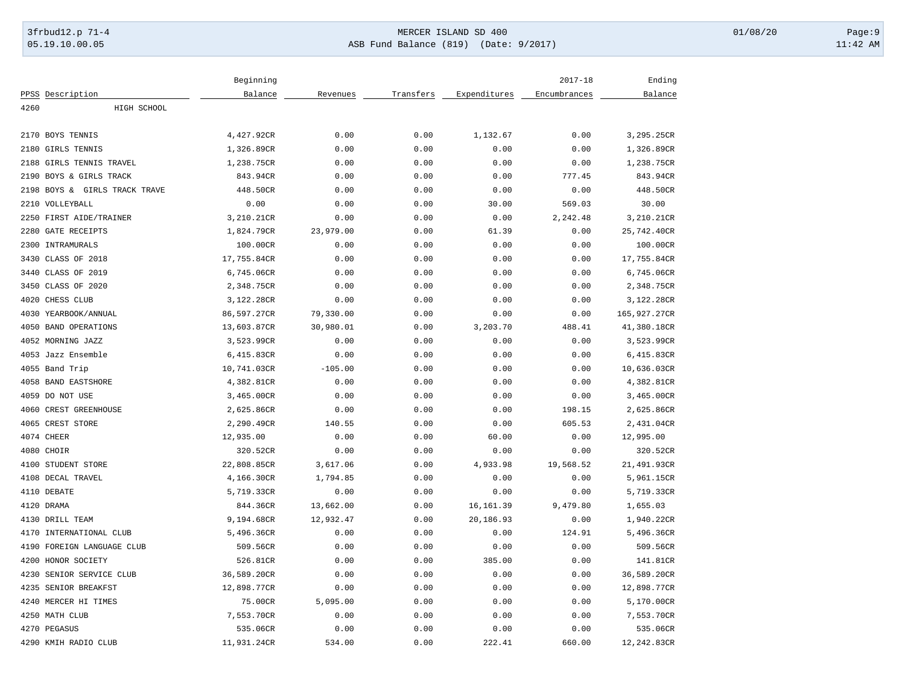## 3frbud12.p 71-4 **Details and the CER ISLAND SD 400** MERCER ISLAND SD 400 01/08/20 Page:9 05.19.10.00.05 ASB Fund Balance (819) (Date: 9/2017) 11:42 AM

|            |                               | Beginning              |                  |           |              | $2017 - 18$  | Ending       |
|------------|-------------------------------|------------------------|------------------|-----------|--------------|--------------|--------------|
|            | PPSS Description              | Balance                | Revenues         | Transfers | Expenditures | Encumbrances | Balance      |
| 4260       | HIGH SCHOOL                   |                        |                  |           |              |              |              |
|            |                               |                        |                  |           |              |              |              |
|            | 2170 BOYS TENNIS              | 4,427.92CR             | 0.00             | 0.00      | 1,132.67     | 0.00         | 3,295.25CR   |
| 2180       | GIRLS TENNIS                  | 1,326.89CR             | 0.00             | 0.00      | 0.00         | 0.00         | 1,326.89CR   |
| 2188       | GIRLS TENNIS TRAVEL           | 1,238.75CR             | 0.00             | 0.00      | 0.00         | 0.00         | 1,238.75CR   |
|            | 2190 BOYS & GIRLS TRACK       | 843.94CR               | 0.00             | 0.00      | 0.00         | 777.45       | 843.94CR     |
|            | 2198 BOYS & GIRLS TRACK TRAVE | 448.50CR               | 0.00             | 0.00      | 0.00         | 0.00         | 448.50CR     |
|            | 2210 VOLLEYBALL               | 0.00                   | 0.00             | 0.00      | 30.00        | 569.03       | 30.00        |
|            | 2250 FIRST AIDE/TRAINER       | 3,210.21CR             | 0.00             | 0.00      | 0.00         | 2,242.48     | 3,210.21CR   |
| 2280       | <b>GATE RECEIPTS</b>          | 1,824.79CR             | 23,979.00        | 0.00      | 61.39        | 0.00         | 25,742.40CR  |
|            | 2300 INTRAMURALS              | 100.00CR               | 0.00             | 0.00      | 0.00         | 0.00         | 100.00CR     |
|            | 3430 CLASS OF 2018            | 17,755.84CR            | 0.00             | 0.00      | 0.00         | 0.00         | 17,755.84CR  |
| 3440       | CLASS OF 2019                 | 6,745.06CR             | 0.00             | 0.00      | 0.00         | 0.00         | 6,745.06CR   |
|            | 3450 CLASS OF 2020            | 2,348.75CR             | 0.00             | 0.00      | 0.00         | 0.00         | 2,348.75CR   |
| 4020       | CHESS CLUB                    | 3,122.28CR             | 0.00             | 0.00      | 0.00         | 0.00         | 3,122.28CR   |
|            | 4030 YEARBOOK/ANNUAL          | 86,597.27CR            | 79,330.00        | 0.00      | 0.00         | 0.00         | 165,927.27CR |
|            | 4050 BAND OPERATIONS          | 13,603.87CR            | 30,980.01        | 0.00      | 3,203.70     | 488.41       | 41,380.18CR  |
|            | 4052 MORNING JAZZ             | 3,523.99CR             | 0.00             | 0.00      | 0.00         | 0.00         | 3,523.99CR   |
|            | 4053 Jazz Ensemble            | 6,415.83CR             | 0.00             | 0.00      | 0.00         | 0.00         | 6,415.83CR   |
|            | 4055 Band Trip                | 10,741.03CR            | $-105.00$        | 0.00      | 0.00         | 0.00         | 10,636.03CR  |
|            | 4058 BAND EASTSHORE           | 4,382.81CR             | 0.00             | 0.00      | 0.00         | 0.00         | 4,382.81CR   |
|            | 4059 DO NOT USE               | 3,465.00CR             | 0.00             | 0.00      | 0.00         | 0.00         | 3,465.00CR   |
| 4060       | CREST GREENHOUSE              | 2,625.86CR             | 0.00             | 0.00      | 0.00         | 198.15       | 2,625.86CR   |
|            | 4065 CREST STORE              | 2,290.49CR             | 140.55           | 0.00      | 0.00         | 605.53       | 2,431.04CR   |
| 4074 CHEER |                               | 12,935.00              | 0.00             | 0.00      | 60.00        | 0.00         | 12,995.00    |
| 4080 CHOIR |                               | 320.52CR               | 0.00             | 0.00      | 0.00         | 0.00         | 320.52CR     |
|            | 4100 STUDENT STORE            | 22,808.85CR            | 3,617.06         | 0.00      | 4,933.98     | 19,568.52    | 21,491.93CR  |
| 4108       | DECAL TRAVEL                  | 4,166.30CR             | 1,794.85         | 0.00      | 0.00         | 0.00         | 5,961.15CR   |
|            | 4110 DEBATE                   | 5,719.33CR             | 0.00             | 0.00      | 0.00         | 0.00         | 5,719.33CR   |
| 4120 DRAMA |                               | 844.36CR               | 13,662.00        | 0.00      | 16, 161.39   | 9,479.80     | 1,655.03     |
|            | 4130 DRILL TEAM               | 9,194.68CR             | 12,932.47        | 0.00      | 20,186.93    | 0.00         | 1,940.22CR   |
| 4170       | INTERNATIONAL CLUB            | 5,496.36CR             | 0.00             | 0.00      | 0.00         | 124.91       | 5,496.36CR   |
| 4190       | FOREIGN LANGUAGE CLUB         | 509.56CR               | 0.00             | 0.00      | 0.00         | 0.00         | 509.56CR     |
|            | 4200 HONOR SOCIETY            | 526.81CR               | 0.00             | 0.00      | 385.00       | 0.00         | 141.81CR     |
| 4230       | SENIOR SERVICE CLUB           | 36,589.20CR            | 0.00             | 0.00      | 0.00         | 0.00         | 36,589.20CR  |
|            | 4235 SENIOR BREAKFST          |                        |                  |           |              |              |              |
|            | 4240 MERCER HI TIMES          | 12,898.77CR<br>75.00CR | 0.00<br>5,095.00 | 0.00      | 0.00         | 0.00         | 12,898.77CR  |
|            |                               |                        |                  | 0.00      | 0.00         | 0.00         | 5,170.00CR   |
|            | 4250 MATH CLUB                | 7,553.70CR             | 0.00             | 0.00      | 0.00         | 0.00         | 7,553.70CR   |
|            | 4270 PEGASUS                  | 535.06CR               | 0.00             | 0.00      | 0.00         | 0.00         | 535.06CR     |
|            | 4290 KMIH RADIO CLUB          | 11,931.24CR            | 534.00           | 0.00      | 222.41       | 660.00       | 12,242.83CR  |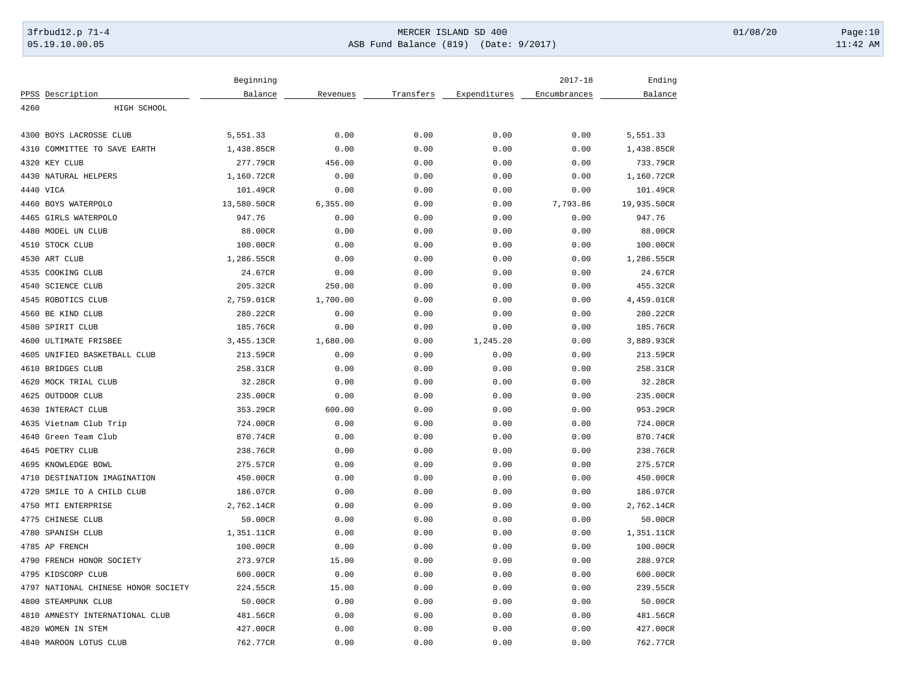## 3frbud12.p 71-4 **Details and the CER ISLAND SD 400** MERCER ISLAND SD 400 01/08/20 Page:10 05.19.10.00.05 ASB Fund Balance (819) (Date: 9/2017) 11:42 AM

|                                     | Beginning   |          |           |              | $2017 - 18$  | Ending      |
|-------------------------------------|-------------|----------|-----------|--------------|--------------|-------------|
| PPSS Description                    | Balance     | Revenues | Transfers | Expenditures | Encumbrances | Balance     |
| 4260<br>HIGH SCHOOL                 |             |          |           |              |              |             |
|                                     |             |          |           |              |              |             |
| 4300 BOYS LACROSSE CLUB             | 5,551.33    | 0.00     | 0.00      | 0.00         | 0.00         | 5,551.33    |
| COMMITTEE TO SAVE EARTH<br>4310     | 1,438.85CR  | 0.00     | 0.00      | 0.00         | 0.00         | 1,438.85CR  |
| 4320 KEY CLUB                       | 277.79CR    | 456.00   | 0.00      | 0.00         | 0.00         | 733.79CR    |
| 4430 NATURAL HELPERS                | 1,160.72CR  | 0.00     | 0.00      | 0.00         | 0.00         | 1,160.72CR  |
| 4440 VICA                           | 101.49CR    | 0.00     | 0.00      | 0.00         | 0.00         | 101.49CR    |
| 4460 BOYS WATERPOLO                 | 13,580.50CR | 6,355.00 | 0.00      | 0.00         | 7,793.86     | 19,935.50CR |
| 4465 GIRLS WATERPOLO                | 947.76      | 0.00     | 0.00      | 0.00         | 0.00         | 947.76      |
| 4480 MODEL UN CLUB                  | 88.00CR     | 0.00     | 0.00      | 0.00         | 0.00         | 88.00CR     |
| 4510 STOCK CLUB                     | 100.00CR    | 0.00     | 0.00      | 0.00         | 0.00         | 100.00CR    |
| 4530 ART CLUB                       | 1,286.55CR  | 0.00     | 0.00      | 0.00         | 0.00         | 1,286.55CR  |
| 4535 COOKING CLUB                   | 24.67CR     | 0.00     | 0.00      | 0.00         | 0.00         | 24.67CR     |
| <b>SCIENCE CLUB</b><br>4540         | 205.32CR    | 250.00   | 0.00      | 0.00         | 0.00         | 455.32CR    |
| 4545 ROBOTICS CLUB                  | 2,759.01CR  | 1,700.00 | 0.00      | 0.00         | 0.00         | 4,459.01CR  |
| 4560 BE KIND CLUB                   | 280.22CR    | 0.00     | 0.00      | 0.00         | 0.00         | 280.22CR    |
| 4580 SPIRIT CLUB                    | 185.76CR    | 0.00     | 0.00      | 0.00         | 0.00         | 185.76CR    |
| 4600 ULTIMATE FRISBEE               | 3,455.13CR  | 1,680.00 | 0.00      | 1,245.20     | 0.00         | 3,889.93CR  |
| 4605 UNIFIED BASKETBALL CLUB        | 213.59CR    | 0.00     | 0.00      | 0.00         | 0.00         | 213.59CR    |
| 4610 BRIDGES CLUB                   | 258.31CR    | 0.00     | 0.00      | 0.00         | 0.00         | 258.31CR    |
| 4620 MOCK TRIAL CLUB                | 32.28CR     | 0.00     | 0.00      | 0.00         | 0.00         | 32.28CR     |
| 4625 OUTDOOR CLUB                   | 235.00CR    | 0.00     | 0.00      | 0.00         | 0.00         | 235.00CR    |
| 4630 INTERACT CLUB                  | 353.29CR    | 600.00   | 0.00      | 0.00         | 0.00         | 953.29CR    |
| 4635 Vietnam Club Trip              | 724.00CR    | 0.00     | 0.00      | 0.00         | 0.00         | 724.00CR    |
| 4640 Green Team Club                | 870.74CR    | 0.00     | 0.00      | 0.00         | 0.00         | 870.74CR    |
| 4645 POETRY CLUB                    | 238.76CR    | 0.00     | 0.00      | 0.00         | 0.00         | 238.76CR    |
| 4695 KNOWLEDGE BOWL                 | 275.57CR    | 0.00     | 0.00      | 0.00         | 0.00         | 275.57CR    |
| DESTINATION IMAGINATION<br>4710     | 450.00CR    | 0.00     | 0.00      | 0.00         | 0.00         | 450.00CR    |
| 4720<br>SMILE TO A CHILD CLUB       | 186.07CR    | 0.00     | 0.00      | 0.00         | 0.00         | 186.07CR    |
| 4750 MTI ENTERPRISE                 | 2,762.14CR  | 0.00     | 0.00      | 0.00         | 0.00         | 2,762.14CR  |
| 4775 CHINESE CLUB                   | 50.00CR     | 0.00     | 0.00      | 0.00         | 0.00         | 50.00CR     |
| 4780 SPANISH CLUB                   | 1,351.11CR  | 0.00     | 0.00      | 0.00         | 0.00         | 1,351.11CR  |
| 4785 AP FRENCH                      | 100.00CR    | 0.00     | 0.00      | 0.00         | 0.00         | 100.00CR    |
| 4790 FRENCH HONOR SOCIETY           | 273.97CR    | 15.00    | 0.00      | 0.00         | 0.00         | 288.97CR    |
|                                     |             | 0.00     |           | 0.00         | 0.00         |             |
| 4795 KIDSCORP CLUB                  | 600.00CR    |          | 0.00      |              |              | 600.00CR    |
| 4797 NATIONAL CHINESE HONOR SOCIETY | 224.55CR    | 15.00    | 0.00      | 0.00         | 0.00         | 239.55CR    |
| 4800 STEAMPUNK CLUB                 | 50.00CR     | 0.00     | 0.00      | 0.00         | 0.00         | 50.00CR     |
| 4810 AMNESTY INTERNATIONAL CLUB     | 481.56CR    | 0.00     | 0.00      | 0.00         | 0.00         | 481.56CR    |
| 4820 WOMEN IN STEM                  | 427.00CR    | 0.00     | 0.00      | 0.00         | 0.00         | 427.00CR    |
| 4840 MAROON LOTUS CLUB              | 762.77CR    | 0.00     | 0.00      | 0.00         | 0.00         | 762.77CR    |